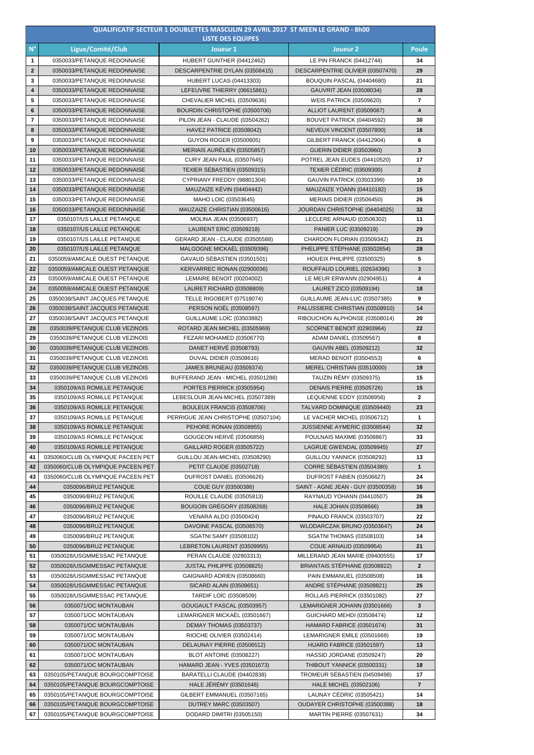|                         |                                                                    | <b>QUALIFICATIF SECTEUR 1 DOUBLETTES MASCULIN 29 AVRIL 2017 ST MEEN LE GRAND - 8h00</b><br><b>LISTE DES EQUIPES</b> |                                                         |                |
|-------------------------|--------------------------------------------------------------------|---------------------------------------------------------------------------------------------------------------------|---------------------------------------------------------|----------------|
| $N^{\circ}$             | Ligue/Comité/Club                                                  | Joueur 1                                                                                                            | Joueur <sub>2</sub>                                     | <b>Poule</b>   |
| 1                       | 0350033/PETANQUE REDONNAISE                                        | HUBERT GUNTHER (04412462)                                                                                           | LE PIN FRANCK (04412744)                                | 34             |
| $\mathbf{2}$            | 0350033/PETANQUE REDONNAISE                                        | DESCARPENTRIE DYLAN (03508415)                                                                                      | DESCARPENTRIE OLIVIER (03507470)                        | 29             |
| 3                       | 0350033/PETANQUE REDONNAISE                                        | <b>HUBERT LUCAS (04413303)</b>                                                                                      | BOUQUIN PASCAL (04404680)                               | 21             |
| $\overline{\mathbf{4}}$ | 0350033/PETANQUE REDONNAISE                                        | LEFEUVRE THIERRY (06615861)                                                                                         | GAUVRIT JEAN (03508034)                                 | 28             |
| 5                       | 0350033/PETANQUE REDONNAISE                                        | CHEVALIER MICHEL (03509636)                                                                                         | <b>WEIS PATRICK (03509620)</b>                          | $\overline{7}$ |
| 6                       | 0350033/PETANQUE REDONNAISE                                        | BOURDIN CHRISTOPHE (03500706)                                                                                       | ALLIOT LAURENT (03509087)                               | 4              |
| $\overline{\mathbf{r}}$ | 0350033/PETANQUE REDONNAISE                                        | PILON JEAN - CLAUDE (03504262)                                                                                      | BOUVET PATRICK (04404592)                               | 30             |
| 8                       | 0350033/PETANQUE REDONNAISE                                        | HAVEZ PATRICE (03508042)                                                                                            | NEVEUX VINCENT (03507800)                               | 16             |
| 9                       | 0350033/PETANQUE REDONNAISE                                        | GUYON ROGER (03500605)                                                                                              | GILBERT FRANCK (04412904)                               | 6              |
| 10                      | 0350033/PETANQUE REDONNAISE                                        | MERIAIS AURÉLIEN (03505857)                                                                                         | <b>GUERIN DIDIER (03503960)</b>                         | 3              |
| 11                      | 0350033/PETANQUE REDONNAISE                                        | <b>CURY JEAN PAUL (03507645)</b>                                                                                    | POTREL JEAN EUDES (04410520)                            | 17             |
| 12                      | 0350033/PETANQUE REDONNAISE                                        | TEXIER SÉBASTIEN (03509315)                                                                                         | <b>TEXIER CÉDRIC (03509300)</b>                         | $\mathbf{2}$   |
| 13                      | 0350033/PETANQUE REDONNAISE                                        | CYPRIANY FREDDY (98801304)                                                                                          | <b>GAUVIN PATRICK (03503399)</b>                        | 10             |
| 14<br>15                | 0350033/PETANQUE REDONNAISE<br>0350033/PETANQUE REDONNAISE         | MAUZAIZE KĖVIN (04404442)<br>MAHO LOIC (03503645)                                                                   | MAUZAIZE YOANN (04410182)<br>MERIAIS DIDIER (03506450)  | 15<br>26       |
| 16                      | 0350033/PETANQUE REDONNAISE                                        | MAUZAIZE CHRISTIAN (03500616)                                                                                       | JOURDAN CHRISTOPHE (04404025)                           | 32             |
| 17                      | 0350107/US LAILLE PETANQUE                                         | MOLINA JEAN (03506937)                                                                                              | LECLERE ARNAUD (03506302)                               | 11             |
| 18                      | 0350107/US LAILLE PETANQUE                                         | LAURENT ERIC (03509218)                                                                                             | PANIER LUC (03509219)                                   | 29             |
| 19                      | 0350107/US LAILLE PETANQUE                                         | GERARD JEAN - CLAUDE (03505588)                                                                                     | CHARDON FLORIAN (03509342)                              | 21             |
| 20                      | 0350107/US LAILLE PETANQUE                                         | MALGOGNE MICKAEL (03509396)                                                                                         | PHELIPPE STÉPHANE (03502654)                            | 28             |
| 21                      | 0350059/AMICALE OUEST PETANQUE                                     | GAVAUD SÉBASTIEN (03501501)                                                                                         | HOUEIX PHILIPPE (03500325)                              | 5              |
| 22                      | 0350059/AMICALE OUEST PETANQUE                                     | KERVARREC RONAN (02900036)                                                                                          | ROUFFAUD LOURIEL (02634396)                             | 3              |
| 23                      | 0350059/AMICALE OUEST PETANQUE                                     | LEMAIRE BENOIT (00204002)                                                                                           | LE MEUR ERWANN (02904951)                               | 4              |
| 24                      | 0350059/AMICALE OUEST PETANQUE                                     | LAURET RICHARD (03508809)                                                                                           | LAURET ZICO (03509194)                                  | 18             |
| 25                      | 0350038/SAINT JACQUES PETANQUE                                     | TELLE RIGOBERT (07518074)                                                                                           | GUILLAUME JEAN-LUC (03507385)                           | 9              |
| 26                      | 0350038/SAINT JACQUES PETANQUE                                     | PERSON NOËL (03508597)                                                                                              | PALUSSIERE CHRISTIAN (03508910)                         | 14             |
| 27                      | 0350038/SAINT JACQUES PETANQUE                                     | <b>GUILLAUME LOIC (03503882)</b>                                                                                    | RIBOUCHON ALPHONSE (03508014)                           | 20             |
| 28                      | 0350039/PETANQUE CLUB VEZINOIS                                     | ROTARD JEAN MICHEL (03505969)                                                                                       | SCORNET BENOIT (02903964)                               | 22             |
| 29                      | 0350039/PETANQUE CLUB VEZINOIS                                     | FEZARI MOHAMED (03506770)                                                                                           | ADAM DANIEL (03509567)                                  | 8              |
| 30                      | 0350039/PETANQUE CLUB VEZINOIS                                     | DANET HERVÉ (03508793)                                                                                              | GAUVIN ABEL (03509212)                                  | 32             |
| 31                      | 0350039/PETANQUE CLUB VEZINOIS                                     | DUVAL DIDIER (03508616)                                                                                             | MERAD BENOIT (03504553)                                 | 6              |
| 32<br>33                | 0350039/PETANQUE CLUB VEZINOIS<br>0350039/PETANQUE CLUB VEZINOIS   | <b>JAMES BRUNEAU (03509374)</b><br>BUFFERAND JEAN - MICHEL (03501288)                                               | MEREL CHRISTIAN (03510000)<br>TAUZIN RÉMY (03509375)    | 19<br>15       |
| 34                      | 0350109/AS ROMILLE PETANQUE                                        | PORTES PIERRICK (03505954)                                                                                          | DENAIS PIERRE (03505726)                                | 15             |
| 35                      | 0350109/AS ROMILLE PETANQUE                                        | LEBESLOUR JEAN-MICHEL (03507389)                                                                                    | LEQUENNE EDDY (03508956)                                | 2              |
| 36                      | 0350109/AS ROMILLE PETANQUE                                        | BOULEUX FRANCIS (03508706)                                                                                          | TALVARD DOMINIQUE (03509440)                            | 23             |
| 37                      | 0350109/AS ROMILLE PETANQUE                                        | PERRIGUE JEAN CHRISTOPHE (03507104)                                                                                 | LE VACHER MICHEL (03506712)                             | 1              |
| 38                      | 0350109/AS ROMILLE PETANQUE                                        | PEHORE RONAN (03508955)                                                                                             | JUSSIENNE AYMERIC (03508544)                            | 32             |
| 39                      | 0350109/AS ROMILLE PETANQUE                                        | GOUGEON HERVÉ (03506856)                                                                                            | POULNAIS MAXIME (03508867)                              | 33             |
| 40                      | 0350109/AS ROMILLE PETANQUE                                        | GAILLARD ROGER (03505722)                                                                                           | LAGRUE GWENDAL (03509945)                               | 27             |
| 41                      | 0350060/CLUB OLYMPIQUE PACEEN PET                                  | GUILLOU JEAN-MICHEL (03508290)                                                                                      | GUILLOU YANNICK (03508292)                              | 13             |
| 42                      | 0350060/CLUB OLYMPIQUE PACEEN PET                                  | PETIT CLAUDE (03502718)                                                                                             | CORRE SÉBASTIEN (03504380)                              | $\mathbf{1}$   |
| 43                      | 0350060/CLUB OLYMPIQUE PACEEN PET                                  | DUFROST DANIEL (03506626)                                                                                           | DUFROST FABIEN (03506627)                               | 24             |
| 44                      | 0350096/BRUZ PETANQUE                                              | COUE GUY (03500386)                                                                                                 | SAINT - AGNE JEAN - GUY (03500358)                      | 16             |
| 45                      | 0350096/BRUZ PETANQUE                                              | ROUILLE CLAUDE (03505813)                                                                                           | RAYNAUD YOHANN (04410507)                               | 26             |
| 46                      | 0350096/BRUZ PETANQUE                                              | BOUGOIN GRÉGORY (03508268)                                                                                          | HALE JOHAN (03508666)                                   | 28             |
| 47                      | 0350096/BRUZ PETANQUE                                              | VENARA ALDO (03500424)                                                                                              | <b>PINAUD FRANCK (03503707)</b>                         | 22             |
| 48<br>49                | 0350096/BRUZ PETANQUE<br>0350096/BRUZ PETANQUE                     | DAVOINE PASCAL (03506570)<br>SGATNI SAMY (03508102)                                                                 | WLODARCZAK BRUNO (03503647)<br>SGATNI THOMAS (03508103) | 24<br>14       |
| 50                      | 0350096/BRUZ PETANQUE                                              | LEBRETON LAURENT (03509955)                                                                                         | <b>COUE ARNAUD (03509954)</b>                           | 21             |
| 51                      | 0350028/USGMMESSAC PETANQUE                                        | PERAN CLAUDE (02903313)                                                                                             | MILLERAND JEAN MARIE (09400555)                         | 17             |
| 52                      | 0350028/USGMMESSAC PETANQUE                                        | JUSTAL PHILIPPE (03508825)                                                                                          | BRIANTAIS STÉPHANE (03508822)                           | $\mathbf{2}$   |
| 53                      | 0350028/USGMMESSAC PETANQUE                                        | GAIGNARD ADRIEN (03508660)                                                                                          | PAIN EMMANUEL (03508508)                                | 16             |
| 54                      | 0350028/USGMMESSAC PETANQUE                                        | SICARD ALAIN (03509651)                                                                                             | ANDRE STÉPHANE (03508821)                               | 25             |
| 55                      | 0350028/USGMMESSAC PETANQUE                                        | TARDIF LOIC (03508509)                                                                                              | ROLLAIS PIERRICK (03501082)                             | 27             |
| 56                      | 0350071/OC MONTAUBAN                                               | GOUGAULT PASCAL (03503957)                                                                                          | LEMARIGNER JOHANN (03501666)                            | 3              |
| 57                      | 0350071/OC MONTAUBAN                                               | LEMARIGNER MICKAËL (03501667)                                                                                       | GUICHARD MEHDI (03508474)                               | 12             |
| 58                      | 0350071/OC MONTAUBAN                                               | <b>DEMAY THOMAS (03503737)</b>                                                                                      | HAMARD FABRICE (03501674)                               | 31             |
| 59                      | 0350071/OC MONTAUBAN                                               | RIOCHE OLIVIER (03502414)                                                                                           | LEMARIGNER EMILE (03501669)                             | 19             |
| 60                      | 0350071/OC MONTAUBAN                                               | DELAUNAY PIERRE (03506512)                                                                                          | <b>HUARD FABRICE (03501597)</b>                         | 13             |
| 61                      | 0350071/OC MONTAUBAN                                               | <b>BLOT ANTOINE (03508227)</b>                                                                                      | HASSID JORDANE (03509247)                               | 20             |
| 62                      | 0350071/OC MONTAUBAN                                               | HAMARD JEAN - YVES (03501673)                                                                                       | THIBOUT YANNICK (03500331)                              | 18             |
| 63                      | 0350105/PETANQUE BOURGCOMPTOISE                                    | BARATELLI CLAUDE (04402838)                                                                                         | TROMEUR SÉBASTIEN (04509498)                            | 17             |
| 64<br>65                | 0350105/PETANQUE BOURGCOMPTOISE<br>0350105/PETANQUE BOURGCOMPTOISE | <b>HALE JEREMY (03501646)</b><br>GILBERT EMMANUEL (03507165)                                                        | HALE MICHEL (03502106)<br>LAUNAY CÉDRIC (03505421)      | 7<br>14        |
| 66                      | 0350105/PETANQUE BOURGCOMPTOISE                                    | <b>DUTREY MARC (03503507)</b>                                                                                       | OUDAYER CHRISTOPHE (03500388)                           | 18             |
| 67                      | 0350105/PETANQUE BOURGCOMPTOISE                                    | DODARD DIMITRI (03505150)                                                                                           | MARTIN PIERRE (03507631)                                | 34             |